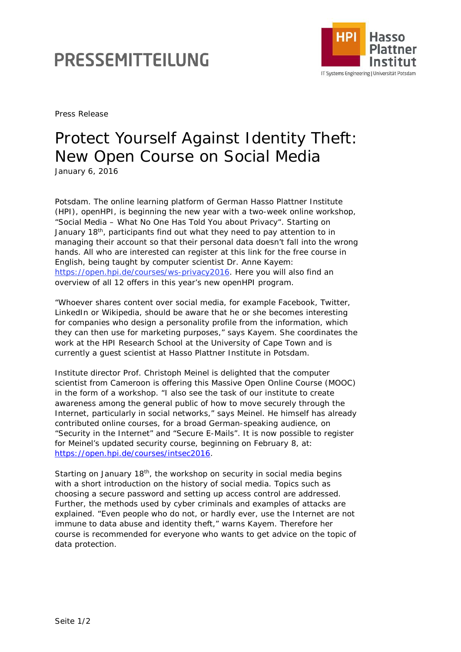## PRESSEMITTEILUNG



Press Release

## Protect Yourself Against Identity Theft: New Open Course on Social Media

January 6, 2016

Potsdam. The online learning platform of German Hasso Plattner Institute (HPI), openHPI, is beginning the new year with a two-week online workshop, "Social Media – What No One Has Told You about Privacy". Starting on January 18th, participants find out what they need to pay attention to in managing their account so that their personal data doesn't fall into the wrong hands. All who are interested can register at this link for the free course in English, being taught by computer scientist Dr. Anne Kayem: https://open.hpi.de/courses/ws-privacy2016. Here you will also find an overview of all 12 offers in this year's new openHPI program.

"Whoever shares content over social media, for example Facebook, Twitter, LinkedIn or Wikipedia, should be aware that he or she becomes interesting for companies who design a personality profile from the information, which they can then use for marketing purposes," says Kayem. She coordinates the work at the HPI Research School at the University of Cape Town and is currently a guest scientist at Hasso Plattner Institute in Potsdam.

Institute director Prof. Christoph Meinel is delighted that the computer scientist from Cameroon is offering this Massive Open Online Course (MOOC) in the form of a workshop. "I also see the task of our institute to create awareness among the general public of how to move securely through the Internet, particularly in social networks," says Meinel. He himself has already contributed online courses, for a broad German-speaking audience, on "Security in the Internet" and "Secure E-Mails". It is now possible to register for Meinel's updated security course, beginning on February 8, at: [https://open.hpi.de/courses/intsec2016.](https://open.hpi.de/courses/intsec2016)

Starting on January 18<sup>th</sup>, the workshop on security in social media begins with a short introduction on the history of social media. Topics such as choosing a secure password and setting up access control are addressed. Further, the methods used by cyber criminals and examples of attacks are explained. "Even people who do not, or hardly ever, use the Internet are not immune to data abuse and identity theft," warns Kayem. Therefore her course is recommended for everyone who wants to get advice on the topic of data protection.